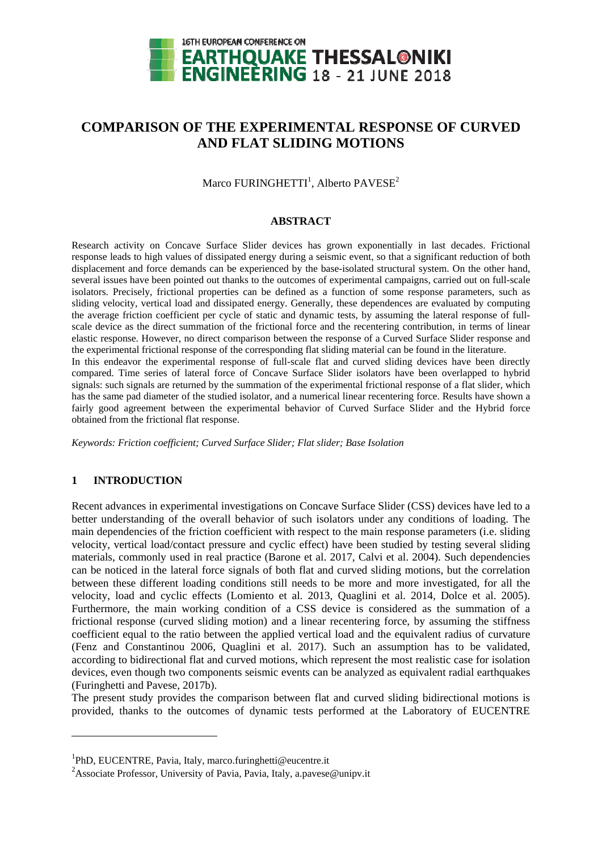

# **COMPARISON OF THE EXPERIMENTAL RESPONSE OF CURVED AND FLAT SLIDING MOTIONS**

Marco FURINGHETTI<sup>1</sup>, Alberto PAVESE<sup>2</sup>

### **ABSTRACT**

Research activity on Concave Surface Slider devices has grown exponentially in last decades. Frictional response leads to high values of dissipated energy during a seismic event, so that a significant reduction of both displacement and force demands can be experienced by the base-isolated structural system. On the other hand, several issues have been pointed out thanks to the outcomes of experimental campaigns, carried out on full-scale isolators. Precisely, frictional properties can be defined as a function of some response parameters, such as sliding velocity, vertical load and dissipated energy. Generally, these dependences are evaluated by computing the average friction coefficient per cycle of static and dynamic tests, by assuming the lateral response of fullscale device as the direct summation of the frictional force and the recentering contribution, in terms of linear elastic response. However, no direct comparison between the response of a Curved Surface Slider response and the experimental frictional response of the corresponding flat sliding material can be found in the literature. In this endeavor the experimental response of full-scale flat and curved sliding devices have been directly compared. Time series of lateral force of Concave Surface Slider isolators have been overlapped to hybrid

signals: such signals are returned by the summation of the experimental frictional response of a flat slider, which has the same pad diameter of the studied isolator, and a numerical linear recentering force. Results have shown a fairly good agreement between the experimental behavior of Curved Surface Slider and the Hybrid force obtained from the frictional flat response.

*Keywords: Friction coefficient; Curved Surface Slider; Flat slider; Base Isolation* 

# **1 INTRODUCTION**

1

Recent advances in experimental investigations on Concave Surface Slider (CSS) devices have led to a better understanding of the overall behavior of such isolators under any conditions of loading. The main dependencies of the friction coefficient with respect to the main response parameters (i.e. sliding velocity, vertical load/contact pressure and cyclic effect) have been studied by testing several sliding materials, commonly used in real practice (Barone et al. 2017, Calvi et al. 2004). Such dependencies can be noticed in the lateral force signals of both flat and curved sliding motions, but the correlation between these different loading conditions still needs to be more and more investigated, for all the velocity, load and cyclic effects (Lomiento et al. 2013, Quaglini et al. 2014, Dolce et al. 2005). Furthermore, the main working condition of a CSS device is considered as the summation of a frictional response (curved sliding motion) and a linear recentering force, by assuming the stiffness coefficient equal to the ratio between the applied vertical load and the equivalent radius of curvature (Fenz and Constantinou 2006, Quaglini et al. 2017). Such an assumption has to be validated, according to bidirectional flat and curved motions, which represent the most realistic case for isolation devices, even though two components seismic events can be analyzed as equivalent radial earthquakes (Furinghetti and Pavese, 2017b).

The present study provides the comparison between flat and curved sliding bidirectional motions is provided, thanks to the outcomes of dynamic tests performed at the Laboratory of EUCENTRE

<sup>1</sup> PhD, EUCENTRE, Pavia, Italy, marco.furinghetti@eucentre.it

<sup>&</sup>lt;sup>2</sup> Associate Professor, University of Pavia, Pavia, Italy, a.pavese@unipv.it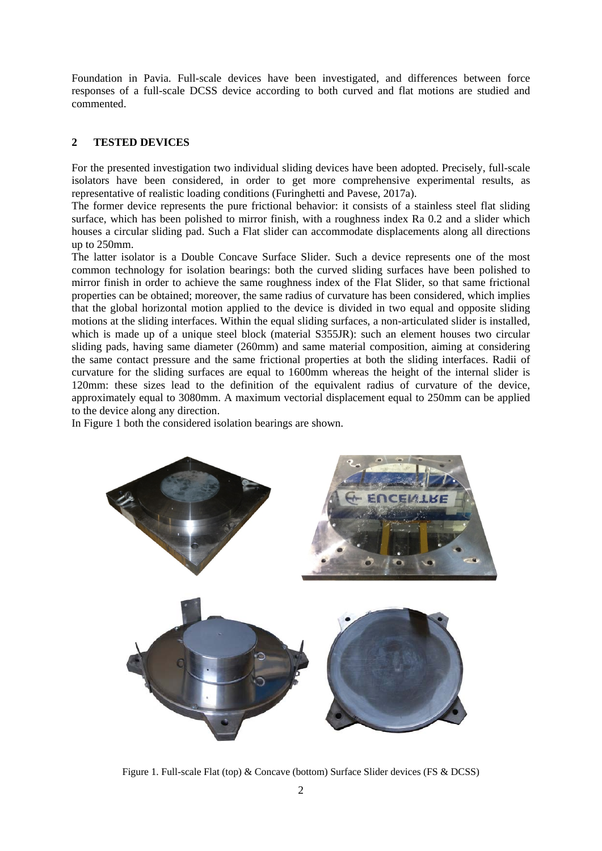Foundation in Pavia. Full-scale devices have been investigated, and differences between force responses of a full-scale DCSS device according to both curved and flat motions are studied and commented.

# **2 TESTED DEVICES**

For the presented investigation two individual sliding devices have been adopted. Precisely, full-scale isolators have been considered, in order to get more comprehensive experimental results, as representative of realistic loading conditions (Furinghetti and Pavese, 2017a).

The former device represents the pure frictional behavior: it consists of a stainless steel flat sliding surface, which has been polished to mirror finish, with a roughness index Ra 0.2 and a slider which houses a circular sliding pad. Such a Flat slider can accommodate displacements along all directions up to 250mm.

The latter isolator is a Double Concave Surface Slider. Such a device represents one of the most common technology for isolation bearings: both the curved sliding surfaces have been polished to mirror finish in order to achieve the same roughness index of the Flat Slider, so that same frictional properties can be obtained; moreover, the same radius of curvature has been considered, which implies that the global horizontal motion applied to the device is divided in two equal and opposite sliding motions at the sliding interfaces. Within the equal sliding surfaces, a non-articulated slider is installed, which is made up of a unique steel block (material S355JR): such an element houses two circular sliding pads, having same diameter (260mm) and same material composition, aiming at considering the same contact pressure and the same frictional properties at both the sliding interfaces. Radii of curvature for the sliding surfaces are equal to 1600mm whereas the height of the internal slider is 120mm: these sizes lead to the definition of the equivalent radius of curvature of the device, approximately equal to 3080mm. A maximum vectorial displacement equal to 250mm can be applied to the device along any direction.

In Figure 1 both the considered isolation bearings are shown.



Figure 1. Full-scale Flat (top) & Concave (bottom) Surface Slider devices (FS & DCSS)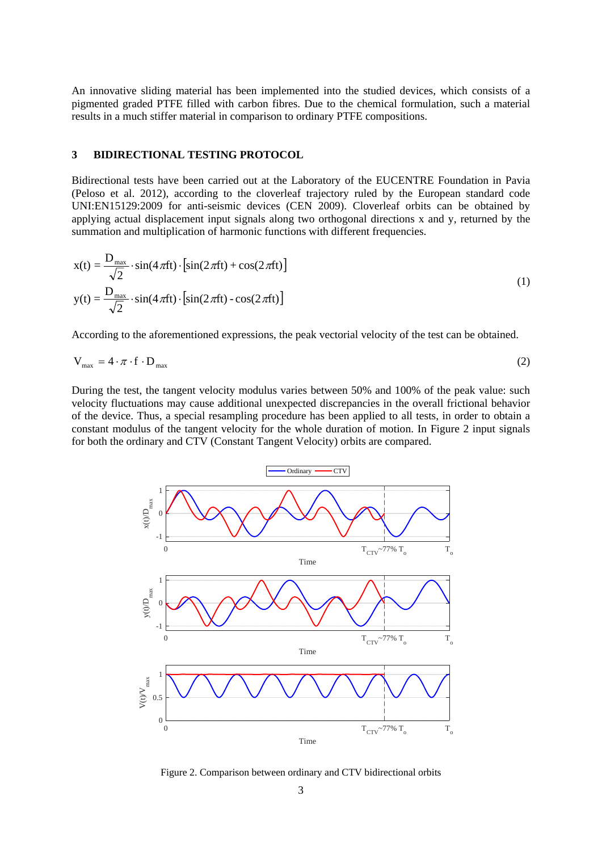An innovative sliding material has been implemented into the studied devices, which consists of a pigmented graded PTFE filled with carbon fibres. Due to the chemical formulation, such a material results in a much stiffer material in comparison to ordinary PTFE compositions.

### **3 BIDIRECTIONAL TESTING PROTOCOL**

Bidirectional tests have been carried out at the Laboratory of the EUCENTRE Foundation in Pavia (Peloso et al. 2012), according to the cloverleaf trajectory ruled by the European standard code UNI:EN15129:2009 for anti-seismic devices (CEN 2009). Cloverleaf orbits can be obtained by applying actual displacement input signals along two orthogonal directions x and y, returned by the summation and multiplication of harmonic functions with different frequencies.

$$
x(t) = \frac{D_{\text{max}}}{\sqrt{2}} \cdot \sin(4\pi ft) \cdot \left[\sin(2\pi ft) + \cos(2\pi ft)\right]
$$
  

$$
y(t) = \frac{D_{\text{max}}}{\sqrt{2}} \cdot \sin(4\pi ft) \cdot \left[\sin(2\pi ft) - \cos(2\pi ft)\right]
$$
 (1)

According to the aforementioned expressions, the peak vectorial velocity of the test can be obtained.

$$
V_{\text{max}} = 4 \cdot \pi \cdot f \cdot D_{\text{max}} \tag{2}
$$

During the test, the tangent velocity modulus varies between 50% and 100% of the peak value: such velocity fluctuations may cause additional unexpected discrepancies in the overall frictional behavior of the device. Thus, a special resampling procedure has been applied to all tests, in order to obtain a constant modulus of the tangent velocity for the whole duration of motion. In Figure 2 input signals for both the ordinary and CTV (Constant Tangent Velocity) orbits are compared.



Figure 2. Comparison between ordinary and CTV bidirectional orbits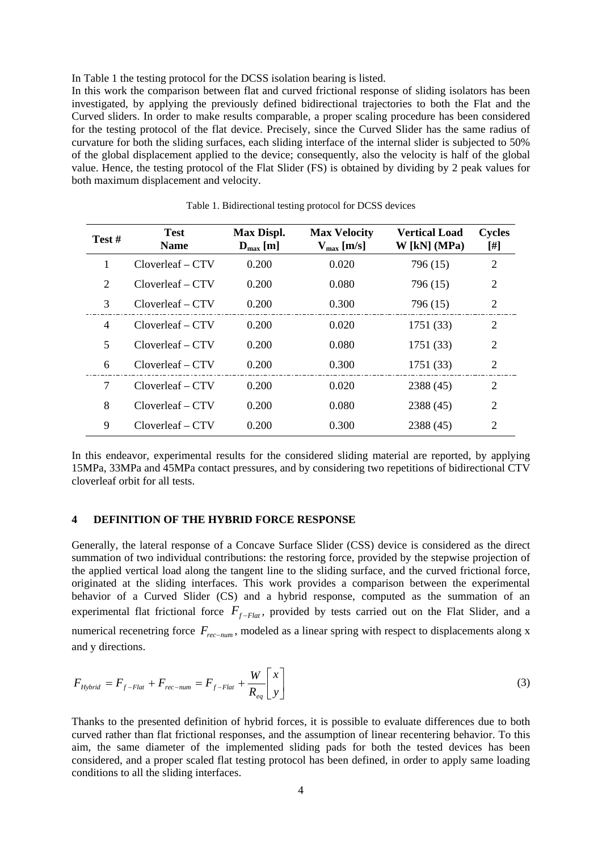In Table 1 the testing protocol for the DCSS isolation bearing is listed.

In this work the comparison between flat and curved frictional response of sliding isolators has been investigated, by applying the previously defined bidirectional trajectories to both the Flat and the Curved sliders. In order to make results comparable, a proper scaling procedure has been considered for the testing protocol of the flat device. Precisely, since the Curved Slider has the same radius of curvature for both the sliding surfaces, each sliding interface of the internal slider is subjected to 50% of the global displacement applied to the device; consequently, also the velocity is half of the global value. Hence, the testing protocol of the Flat Slider (FS) is obtained by dividing by 2 peak values for both maximum displacement and velocity.

| Test #         | <b>Test</b><br><b>Name</b> | Max Displ.<br>$D_{\max}[m]$ | <b>Max Velocity</b><br>$V_{\rm max}$ [m/s] | <b>Vertical Load</b><br>$W$ [kN] (MPa) | <b>Cycles</b><br>[#] |
|----------------|----------------------------|-----------------------------|--------------------------------------------|----------------------------------------|----------------------|
|                | $Cloverleaf - CTV$         | 0.200                       | 0.020                                      | 796 (15)                               | $\overline{c}$       |
| 2              | $C$ loverleaf – $CTV$      | 0.200                       | 0.080                                      | 796 (15)                               | 2                    |
| 3              | Cloverleaf – CTV           | 0.200                       | 0.300                                      | 796 (15)                               | 2                    |
| $\overline{4}$ | $C$ loverleaf – $CTV$      | 0.200                       | 0.020                                      | 1751 (33)                              | 2                    |
| 5              | $Cloverleaf - CTV$         | 0.200                       | 0.080                                      | 1751 (33)                              | 2                    |
| 6              | $C$ lowerleaf – $CTV$      | 0.200                       | 0.300                                      | 1751 (33)                              | 2                    |
| 7              | Cloverleaf - CTV           | 0.200                       | 0.020                                      | 2388 (45)                              | 2                    |
| 8              | $Cloverleaf - CTV$         | 0.200                       | 0.080                                      | 2388 (45)                              | 2                    |
| 9              | $Cloverleaf - CTV$         | 0.200                       | 0.300                                      | 2388 (45)                              | $\overline{2}$       |

Table 1. Bidirectional testing protocol for DCSS devices

In this endeavor, experimental results for the considered sliding material are reported, by applying 15MPa, 33MPa and 45MPa contact pressures, and by considering two repetitions of bidirectional CTV cloverleaf orbit for all tests.

#### **4 DEFINITION OF THE HYBRID FORCE RESPONSE**

Generally, the lateral response of a Concave Surface Slider (CSS) device is considered as the direct summation of two individual contributions: the restoring force, provided by the stepwise projection of the applied vertical load along the tangent line to the sliding surface, and the curved frictional force, originated at the sliding interfaces. This work provides a comparison between the experimental behavior of a Curved Slider (CS) and a hybrid response, computed as the summation of an experimental flat frictional force  $F_{f-Flat}$ , provided by tests carried out on the Flat Slider, and a numerical recenetring force  $F_{rec-num}$ , modeled as a linear spring with respect to displacements along x and y directions.

$$
F_{Hybrid} = F_{f-Flat} + F_{rec-num} = F_{f-Flat} + \frac{W}{R_{eq}} \begin{bmatrix} x \\ y \end{bmatrix}
$$
 (3)

Thanks to the presented definition of hybrid forces, it is possible to evaluate differences due to both curved rather than flat frictional responses, and the assumption of linear recentering behavior. To this aim, the same diameter of the implemented sliding pads for both the tested devices has been considered, and a proper scaled flat testing protocol has been defined, in order to apply same loading conditions to all the sliding interfaces.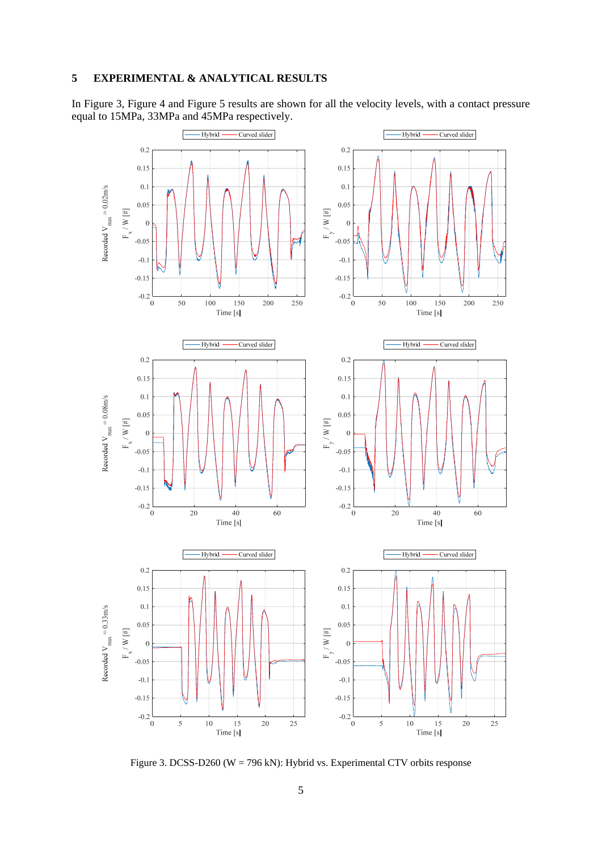# **5 EXPERIMENTAL & ANALYTICAL RESULTS**

In Figure 3, Figure 4 and Figure 5 results are shown for all the velocity levels, with a contact pressure equal to 15MPa, 33MPa and 45MPa respectively.



Figure 3. DCSS-D260 (W = 796 kN): Hybrid vs. Experimental CTV orbits response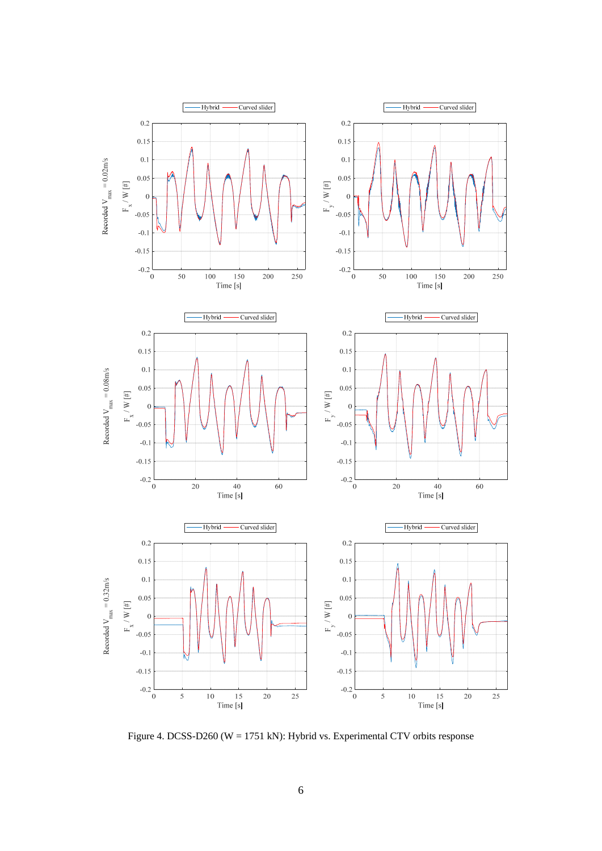

Figure 4. DCSS-D260 (W = 1751 kN): Hybrid vs. Experimental CTV orbits response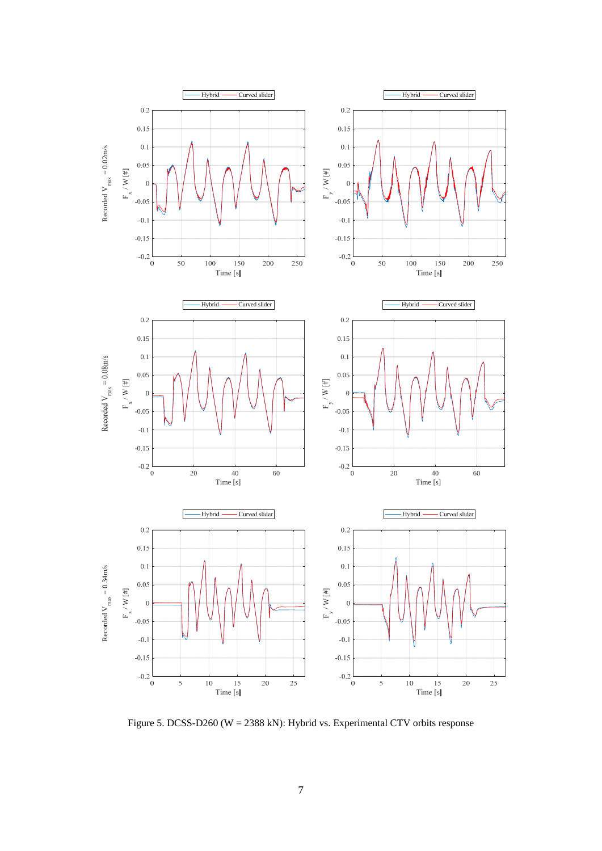

Figure 5. DCSS-D260 (W = 2388 kN): Hybrid vs. Experimental CTV orbits response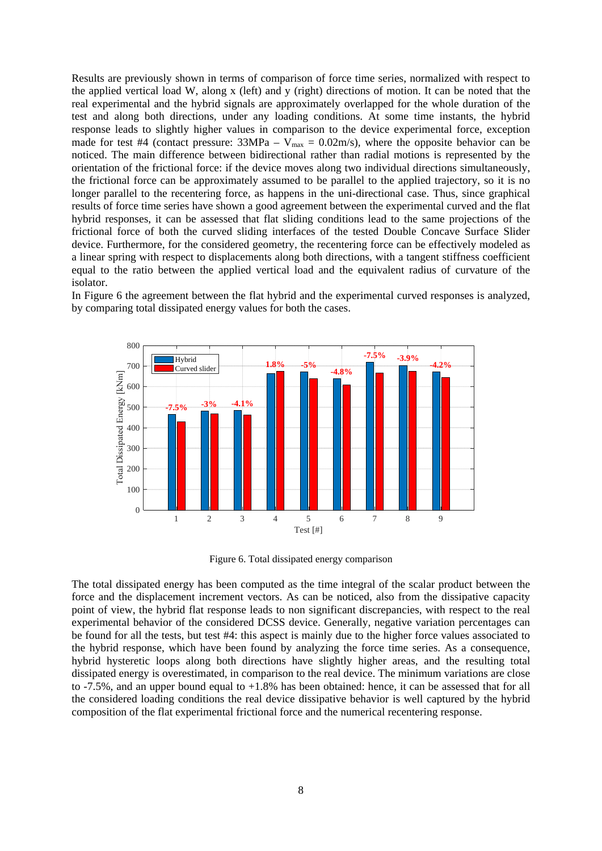Results are previously shown in terms of comparison of force time series, normalized with respect to the applied vertical load W, along x (left) and y (right) directions of motion. It can be noted that the real experimental and the hybrid signals are approximately overlapped for the whole duration of the test and along both directions, under any loading conditions. At some time instants, the hybrid response leads to slightly higher values in comparison to the device experimental force, exception made for test #4 (contact pressure:  $33MPa - V_{max} = 0.02m/s$ ), where the opposite behavior can be noticed. The main difference between bidirectional rather than radial motions is represented by the orientation of the frictional force: if the device moves along two individual directions simultaneously, the frictional force can be approximately assumed to be parallel to the applied trajectory, so it is no longer parallel to the recentering force, as happens in the uni-directional case. Thus, since graphical results of force time series have shown a good agreement between the experimental curved and the flat hybrid responses, it can be assessed that flat sliding conditions lead to the same projections of the frictional force of both the curved sliding interfaces of the tested Double Concave Surface Slider device. Furthermore, for the considered geometry, the recentering force can be effectively modeled as a linear spring with respect to displacements along both directions, with a tangent stiffness coefficient equal to the ratio between the applied vertical load and the equivalent radius of curvature of the isolator.

In Figure 6 the agreement between the flat hybrid and the experimental curved responses is analyzed, by comparing total dissipated energy values for both the cases.



Figure 6. Total dissipated energy comparison

The total dissipated energy has been computed as the time integral of the scalar product between the force and the displacement increment vectors. As can be noticed, also from the dissipative capacity point of view, the hybrid flat response leads to non significant discrepancies, with respect to the real experimental behavior of the considered DCSS device. Generally, negative variation percentages can be found for all the tests, but test #4: this aspect is mainly due to the higher force values associated to the hybrid response, which have been found by analyzing the force time series. As a consequence, hybrid hysteretic loops along both directions have slightly higher areas, and the resulting total dissipated energy is overestimated, in comparison to the real device. The minimum variations are close to -7.5%, and an upper bound equal to +1.8% has been obtained: hence, it can be assessed that for all the considered loading conditions the real device dissipative behavior is well captured by the hybrid composition of the flat experimental frictional force and the numerical recentering response.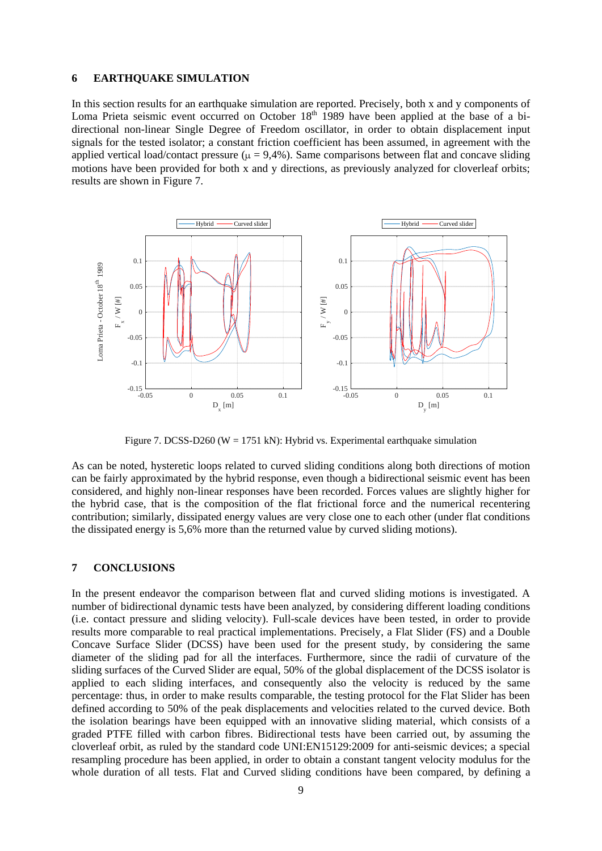### **6 EARTHQUAKE SIMULATION**

In this section results for an earthquake simulation are reported. Precisely, both x and y components of Loma Prieta seismic event occurred on October  $18<sup>th</sup>$  1989 have been applied at the base of a bidirectional non-linear Single Degree of Freedom oscillator, in order to obtain displacement input signals for the tested isolator; a constant friction coefficient has been assumed, in agreement with the applied vertical load/contact pressure  $(\mu = 9.4\%)$ . Same comparisons between flat and concave sliding motions have been provided for both x and y directions, as previously analyzed for cloverleaf orbits; results are shown in Figure 7.



Figure 7. DCSS-D260 (W = 1751 kN): Hybrid vs. Experimental earthquake simulation

As can be noted, hysteretic loops related to curved sliding conditions along both directions of motion can be fairly approximated by the hybrid response, even though a bidirectional seismic event has been considered, and highly non-linear responses have been recorded. Forces values are slightly higher for the hybrid case, that is the composition of the flat frictional force and the numerical recentering contribution; similarly, dissipated energy values are very close one to each other (under flat conditions the dissipated energy is 5,6% more than the returned value by curved sliding motions).

#### **7 CONCLUSIONS**

In the present endeavor the comparison between flat and curved sliding motions is investigated. A number of bidirectional dynamic tests have been analyzed, by considering different loading conditions (i.e. contact pressure and sliding velocity). Full-scale devices have been tested, in order to provide results more comparable to real practical implementations. Precisely, a Flat Slider (FS) and a Double Concave Surface Slider (DCSS) have been used for the present study, by considering the same diameter of the sliding pad for all the interfaces. Furthermore, since the radii of curvature of the sliding surfaces of the Curved Slider are equal, 50% of the global displacement of the DCSS isolator is applied to each sliding interfaces, and consequently also the velocity is reduced by the same percentage: thus, in order to make results comparable, the testing protocol for the Flat Slider has been defined according to 50% of the peak displacements and velocities related to the curved device. Both the isolation bearings have been equipped with an innovative sliding material, which consists of a graded PTFE filled with carbon fibres. Bidirectional tests have been carried out, by assuming the cloverleaf orbit, as ruled by the standard code UNI:EN15129:2009 for anti-seismic devices; a special resampling procedure has been applied, in order to obtain a constant tangent velocity modulus for the whole duration of all tests. Flat and Curved sliding conditions have been compared, by defining a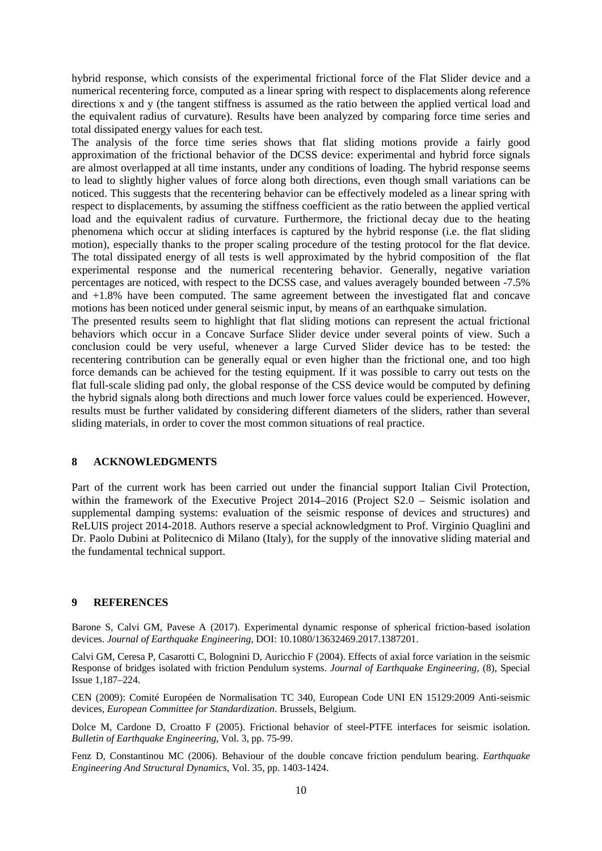hybrid response, which consists of the experimental frictional force of the Flat Slider device and a numerical recentering force, computed as a linear spring with respect to displacements along reference directions x and y (the tangent stiffness is assumed as the ratio between the applied vertical load and the equivalent radius of curvature). Results have been analyzed by comparing force time series and total dissipated energy values for each test.

The analysis of the force time series shows that flat sliding motions provide a fairly good approximation of the frictional behavior of the DCSS device: experimental and hybrid force signals are almost overlapped at all time instants, under any conditions of loading. The hybrid response seems to lead to slightly higher values of force along both directions, even though small variations can be noticed. This suggests that the recentering behavior can be effectively modeled as a linear spring with respect to displacements, by assuming the stiffness coefficient as the ratio between the applied vertical load and the equivalent radius of curvature. Furthermore, the frictional decay due to the heating phenomena which occur at sliding interfaces is captured by the hybrid response (i.e. the flat sliding motion), especially thanks to the proper scaling procedure of the testing protocol for the flat device. The total dissipated energy of all tests is well approximated by the hybrid composition of the flat experimental response and the numerical recentering behavior. Generally, negative variation percentages are noticed, with respect to the DCSS case, and values averagely bounded between -7.5% and +1.8% have been computed. The same agreement between the investigated flat and concave motions has been noticed under general seismic input, by means of an earthquake simulation.

The presented results seem to highlight that flat sliding motions can represent the actual frictional behaviors which occur in a Concave Surface Slider device under several points of view. Such a conclusion could be very useful, whenever a large Curved Slider device has to be tested: the recentering contribution can be generally equal or even higher than the frictional one, and too high force demands can be achieved for the testing equipment. If it was possible to carry out tests on the flat full-scale sliding pad only, the global response of the CSS device would be computed by defining the hybrid signals along both directions and much lower force values could be experienced. However, results must be further validated by considering different diameters of the sliders, rather than several sliding materials, in order to cover the most common situations of real practice.

### **8 ACKNOWLEDGMENTS**

Part of the current work has been carried out under the financial support Italian Civil Protection, within the framework of the Executive Project 2014–2016 (Project S2.0 – Seismic isolation and supplemental damping systems: evaluation of the seismic response of devices and structures) and ReLUIS project 2014-2018. Authors reserve a special acknowledgment to Prof. Virginio Quaglini and Dr. Paolo Dubini at Politecnico di Milano (Italy), for the supply of the innovative sliding material and the fundamental technical support.

### **9 REFERENCES**

Barone S, Calvi GM, Pavese A (2017). Experimental dynamic response of spherical friction-based isolation devices. *Journal of Earthquake Engineering*, DOI: 10.1080/13632469.2017.1387201.

Calvi GM, Ceresa P, Casarotti C, Bolognini D, Auricchio F (2004). Effects of axial force variation in the seismic Response of bridges isolated with friction Pendulum systems. *Journal of Earthquake Engineering*, (8), Special Issue 1,187–224.

CEN (2009): Comité Européen de Normalisation TC 340, European Code UNI EN 15129:2009 Anti-seismic devices, *European Committee for Standardization*. Brussels, Belgium.

Dolce M, Cardone D, Croatto F (2005). Frictional behavior of steel-PTFE interfaces for seismic isolation. *Bulletin of Earthquake Engineering*, Vol. 3, pp. 75-99.

Fenz D, Constantinou MC (2006). Behaviour of the double concave friction pendulum bearing. *Earthquake Engineering And Structural Dynamics*, Vol. 35, pp. 1403-1424.